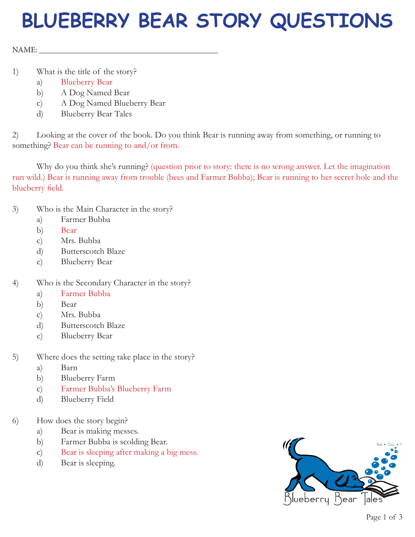## **BLUEBERRY BEAR STORY QUESTIONS**

NAME:

- 1) What is the title of the story?
	- a) Blueberry Bear
	- b) A Dog Named Bear
	- c) A Dog Named Blueberry Bear
	- d) Blueberry Bear Tales

2) Looking at the cover of the book. Do you think Bear is running away from something, or running to something? Bear can be running to and/or from.

Why do you think she's running? (question prior to story: there is no wrong answer. Let the imagination run wild.) Bear is running away from trouble (bees and Farmer Bubba); Bear is running to her secret hole and the blueberry field.

- 3) Who is the Main Character in the story?
	- a) Farmer Bubba
	- b) Bear
	- c) Mrs. Bubba
	- d) Butterscotch Blaze
	- e) Blueberry Bear
- 4) Who is the Secondary Character in the story?
	- a) Farmer Bubba
	- b) Bear
	- c) Mrs. Bubba
	- d) Butterscotch Blaze
	- e) Blueberry Bear
- 5) Where does the setting take place in the story?
	- a) Barn
	- b) Blueberry Farm
	- c) Farmer Bubba's Blueberry Farm
	- d) Blueberry Field
- 6) How does the story begin?
	- a) Bear is making messes.
	- b) Farmer Bubba is scolding Bear.
	- c) Bear is sleeping after making a big mess.
	- d) Bear is sleeping.

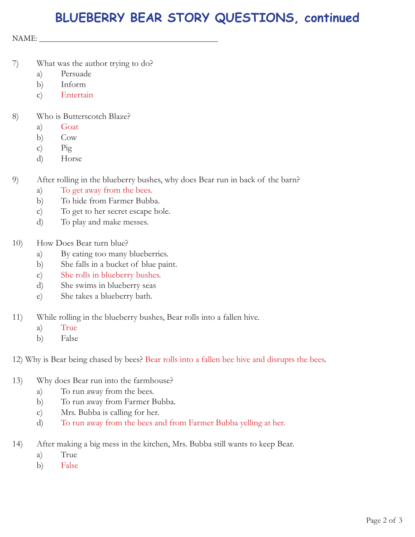## **BLUEBERRY BEAR STORY QUESTIONS, continued**

NAME: \_\_\_\_\_\_\_\_\_\_\_\_\_\_\_\_\_\_\_\_\_\_\_\_\_\_\_\_\_\_\_\_\_\_\_\_\_\_\_\_\_\_\_\_

- 7) What was the author trying to do?
	- a) Persuade
	- b) Inform
	- c) Entertain
- 8) Who is Butterscotch Blaze?
	- a) Goat
	- b) Cow
	- c) Pig
	- d) Horse
- 9) After rolling in the blueberry bushes, why does Bear run in back of the barn?
	- a) To get away from the bees.
	- b) To hide from Farmer Bubba.
	- c) To get to her secret escape hole.
	- d) To play and make messes.
- 10) How Does Bear turn blue?
	- a) By eating too many blueberries.
	- b) She falls in a bucket of blue paint.
	- c) She rolls in blueberry bushes.
	- d) She swims in blueberry seas
	- e) She takes a blueberry bath.
- 11) While rolling in the blueberry bushes, Bear rolls into a fallen hive.
	- a) True
	- b) False

12) Why is Bear being chased by bees? Bear rolls into a fallen bee hive and disrupts the bees.

- 13) Why does Bear run into the farmhouse?
	- a) To run away from the bees.
	- b) To run away from Farmer Bubba.
	- c) Mrs. Bubba is calling for her.
	- d) To run away from the bees and from Farmer Bubba yelling at her.
- 14) After making a big mess in the kitchen, Mrs. Bubba still wants to keep Bear.
	- a) True
	- b) False